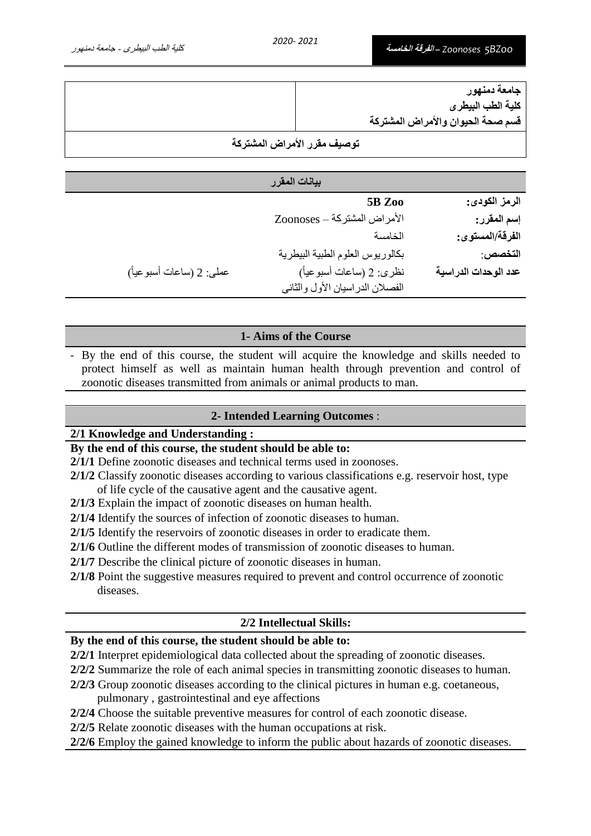| جامعة دمنهور                      |  |
|-----------------------------------|--|
| كلية الطب البيطرى                 |  |
| قسم صحة الحيوان والأمراض المشتركة |  |
| توصيف مقرر الأمراض المشتركة       |  |

|                          | بيانات المقرر                    |                      |
|--------------------------|----------------------------------|----------------------|
|                          | 5B Zoo                           | الرمز الكودي:        |
|                          | الأمراض المشتركة – Zoonoses      | إسم المقرر:          |
|                          | الخامسة                          | الفرقة/المستوى:      |
|                          | بكالوريوس العلوم الطبية البيطرية | التخصص:              |
| عملي: 2 (ساعات أسبوعياً) | نظري: 2 (ساعات أسبوعياً)         | عدد الوحدات الدراسية |
|                          | الفصلان الدراسيان الأول والثاني  |                      |

### **1- Aims of the Course**

- By the end of this course, the student will acquire the knowledge and skills needed to protect himself as well as maintain human health through prevention and control of zoonotic diseases transmitted from animals or animal products to man.

### **2- Intended Learning Outcomes** :

### **2/1 Knowledge and Understanding :**

# **By the end of this course, the student should be able to:**

- **2/1/1** Define zoonotic diseases and technical terms used in zoonoses.
- **2/1/2** Classify zoonotic diseases according to various classifications e.g. reservoir host, type of life cycle of the causative agent and the causative agent.
- **2/1/3** Explain the impact of zoonotic diseases on human health.
- **2/1/4** Identify the sources of infection of zoonotic diseases to human.

**2/1/5** Identify the reservoirs of zoonotic diseases in order to eradicate them.

- **2/1/6** Outline the different modes of transmission of zoonotic diseases to human.
- **2/1/7** Describe the clinical picture of zoonotic diseases in human.
- **2/1/8** Point the suggestive measures required to prevent and control occurrence of zoonotic diseases.

### **2/2 Intellectual Skills:**

### **By the end of this course, the student should be able to:**

- **2/2/1** Interpret epidemiological data collected about the spreading of zoonotic diseases.
- **2/2/2** Summarize the role of each animal species in transmitting zoonotic diseases to human.
- **2/2/3** Group zoonotic diseases according to the clinical pictures in human e.g. coetaneous, pulmonary , gastrointestinal and eye affections
- **2/2/4** Choose the suitable preventive measures for control of each zoonotic disease.
- **2/2/5** Relate zoonotic diseases with the human occupations at risk.
- **2/2/6** Employ the gained knowledge to inform the public about hazards of zoonotic diseases.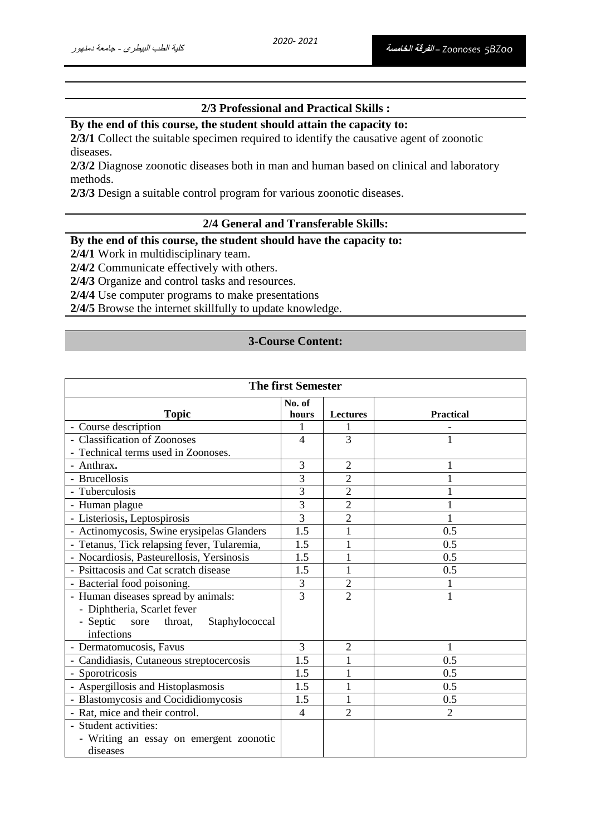## **2/3 Professional and Practical Skills :**

# **By the end of this course, the student should attain the capacity to:**

**2/3/1** Collect the suitable specimen required to identify the causative agent of zoonotic diseases.

**2/3/2** Diagnose zoonotic diseases both in man and human based on clinical and laboratory methods.

**2/3/3** Design a suitable control program for various zoonotic diseases.

#### **2/4 General and Transferable Skills:**

### **By the end of this course, the student should have the capacity to:**

**2/4/1** Work in multidisciplinary team.

**2/4/2** Communicate effectively with others.

**2/4/3** Organize and control tasks and resources.

**2/4/4** Use computer programs to make presentations

**2/4/5** Browse the internet skillfully to update knowledge.

#### **3-Course Content:**

| <b>The first Semester</b>                                   |                 |                |                  |
|-------------------------------------------------------------|-----------------|----------------|------------------|
| <b>Topic</b>                                                | No. of<br>hours | Lectures       | <b>Practical</b> |
| - Course description                                        | 1               |                |                  |
| - Classification of Zoonoses                                | $\overline{4}$  | 3              |                  |
| - Technical terms used in Zoonoses.                         |                 |                |                  |
| - Anthrax.                                                  | 3               | $\overline{2}$ |                  |
| - Brucellosis                                               | 3               | $\overline{2}$ | $\mathbf{1}$     |
| - Tuberculosis                                              | 3               | $\overline{2}$ | 1                |
| - Human plague                                              | 3               | $\overline{2}$ |                  |
| - Listeriosis, Leptospirosis                                | 3               | $\overline{2}$ | 1                |
| - Actinomycosis, Swine erysipelas Glanders                  | 1.5             | 1              | 0.5              |
| - Tetanus, Tick relapsing fever, Tularemia,                 | 1.5             | $\mathbf{1}$   | 0.5              |
| - Nocardiosis, Pasteurellosis, Yersinosis                   | 1.5             | 1              | 0.5              |
| - Psittacosis and Cat scratch disease                       | 1.5             | $\mathbf 1$    | 0.5              |
| - Bacterial food poisoning.                                 | 3               | $\overline{2}$ | 1                |
| - Human diseases spread by animals:                         | 3               | $\overline{2}$ | $\mathbf{1}$     |
| - Diphtheria, Scarlet fever                                 |                 |                |                  |
| - Septic<br>sore<br>throat,<br>Staphylococcal<br>infections |                 |                |                  |
| - Dermatomucosis, Favus                                     | 3               | 2              |                  |
| - Candidiasis, Cutaneous streptocercosis                    | 1.5             | 1              | 0.5              |
| - Sporotricosis                                             | 1.5             | 1              | 0.5              |
| - Aspergillosis and Histoplasmosis                          | 1.5             | $\mathbf{1}$   | 0.5              |
| - Blastomycosis and Cocididiomycosis                        | 1.5             | 1              | 0.5              |
| - Rat, mice and their control.                              | 4               | $\overline{2}$ | $\mathfrak{D}$   |
| - Student activities:                                       |                 |                |                  |
| - Writing an essay on emergent zoonotic                     |                 |                |                  |
| diseases                                                    |                 |                |                  |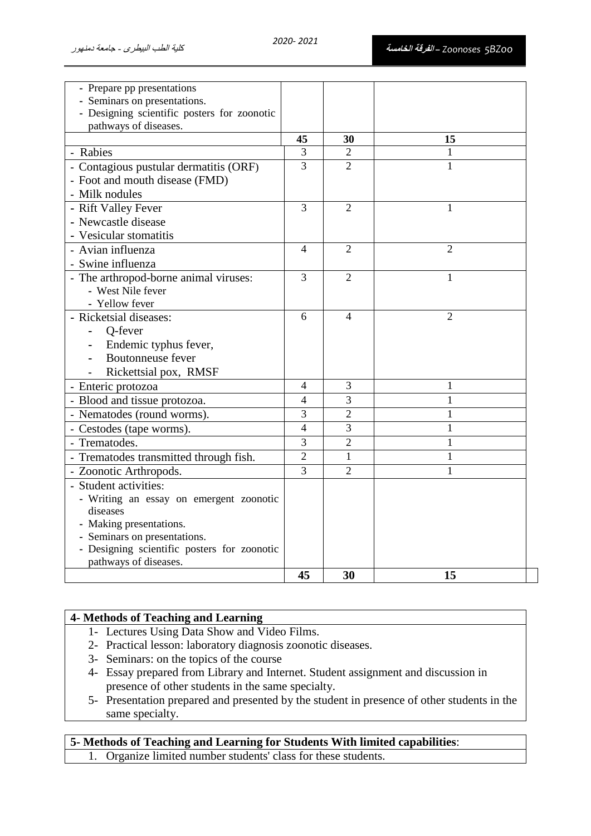| - Prepare pp presentations<br>- Seminars on presentations.<br>- Designing scientific posters for zoonotic<br>pathways of diseases. |                |                             |                |
|------------------------------------------------------------------------------------------------------------------------------------|----------------|-----------------------------|----------------|
|                                                                                                                                    | 45             | 30                          | 15             |
| - Rabies                                                                                                                           | 3              | $\mathcal{D}_{\mathcal{A}}$ | 1              |
| - Contagious pustular dermatitis (ORF)                                                                                             | $\overline{3}$ | $\overline{2}$              | 1              |
| - Foot and mouth disease (FMD)                                                                                                     |                |                             |                |
| - Milk nodules                                                                                                                     |                |                             |                |
| - Rift Valley Fever                                                                                                                | $\overline{3}$ | $\overline{2}$              | 1              |
| - Newcastle disease                                                                                                                |                |                             |                |
| - Vesicular stomatitis                                                                                                             |                |                             |                |
| - Avian influenza                                                                                                                  | 4              | 2                           | 2              |
| - Swine influenza                                                                                                                  |                |                             |                |
| - The arthropod-borne animal viruses:                                                                                              | 3              | $\overline{2}$              | 1              |
| - West Nile fever                                                                                                                  |                |                             |                |
| - Yellow fever                                                                                                                     |                |                             |                |
| - Ricketsial diseases:                                                                                                             | 6              | $\overline{4}$              | $\overline{2}$ |
| Q-fever                                                                                                                            |                |                             |                |
| Endemic typhus fever,                                                                                                              |                |                             |                |
| Boutonneuse fever                                                                                                                  |                |                             |                |
| Rickettsial pox, RMSF                                                                                                              |                |                             |                |
| - Enteric protozoa                                                                                                                 | 4              | 3                           | 1              |
| - Blood and tissue protozoa.                                                                                                       | 4              | 3                           | 1              |
| - Nematodes (round worms).                                                                                                         | 3              | $\overline{2}$              | $\mathbf{1}$   |
| - Cestodes (tape worms).                                                                                                           | 4              | 3                           | $\mathbf{1}$   |
| - Trematodes.                                                                                                                      | 3              | $\overline{2}$              | 1              |
| - Trematodes transmitted through fish.                                                                                             | $\overline{2}$ | $\mathbf{1}$                | $\mathbf{1}$   |
| - Zoonotic Arthropods.                                                                                                             | $\overline{3}$ | $\overline{2}$              | $\mathbf{1}$   |
| - Student activities:                                                                                                              |                |                             |                |
| - Writing an essay on emergent zoonotic                                                                                            |                |                             |                |
| diseases                                                                                                                           |                |                             |                |
| - Making presentations.                                                                                                            |                |                             |                |
| - Seminars on presentations.                                                                                                       |                |                             |                |
| - Designing scientific posters for zoonotic                                                                                        |                |                             |                |
| pathways of diseases.                                                                                                              |                |                             |                |
|                                                                                                                                    | 45             | 30                          | 15             |

### **4- Methods of Teaching and Learning**

- 1- Lectures Using Data Show and Video Films.
- 2- Practical lesson: laboratory diagnosis zoonotic diseases.
- 3- Seminars: on the topics of the course
- 4- Essay prepared from Library and Internet. Student assignment and discussion in presence of other students in the same specialty.
- 5- Presentation prepared and presented by the student in presence of other students in the same specialty.

**5- Methods of Teaching and Learning for Students With limited capabilities**: 1. Organize limited number students' class for these students.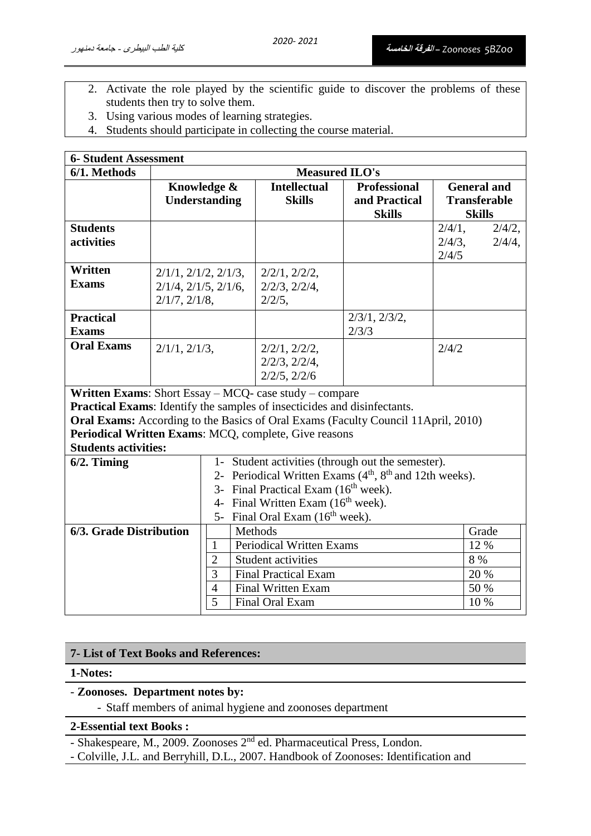- 2. Activate the role played by the scientific guide to discover the problems of these students then try to solve them.
- 3. Using various modes of learning strategies.
- 4. Students should participate in collecting the course material.

| <b>6- Student Assessment</b>                                                                                                                                                                                                                                                                                           |                                                                                       |                                                                                                                                                                                                                                                                                           |                                                                                                                                                 |                                                       |                                                            |
|------------------------------------------------------------------------------------------------------------------------------------------------------------------------------------------------------------------------------------------------------------------------------------------------------------------------|---------------------------------------------------------------------------------------|-------------------------------------------------------------------------------------------------------------------------------------------------------------------------------------------------------------------------------------------------------------------------------------------|-------------------------------------------------------------------------------------------------------------------------------------------------|-------------------------------------------------------|------------------------------------------------------------|
| 6/1. Methods                                                                                                                                                                                                                                                                                                           | <b>Measured ILO's</b>                                                                 |                                                                                                                                                                                                                                                                                           |                                                                                                                                                 |                                                       |                                                            |
|                                                                                                                                                                                                                                                                                                                        |                                                                                       | Knowledge &<br>Understanding                                                                                                                                                                                                                                                              | <b>Intellectual</b><br><b>Skills</b>                                                                                                            | <b>Professional</b><br>and Practical<br><b>Skills</b> | <b>General and</b><br><b>Transferable</b><br><b>Skills</b> |
| <b>Students</b><br>activities                                                                                                                                                                                                                                                                                          |                                                                                       |                                                                                                                                                                                                                                                                                           |                                                                                                                                                 |                                                       | $2/4/1$ ,<br>2/4/2,<br>$2/4/4$ ,<br>$2/4/3$ ,<br>2/4/5     |
| Written<br><b>Exams</b>                                                                                                                                                                                                                                                                                                | $2/1/1$ , $2/1/2$ , $2/1/3$ ,<br>$2/1/4$ , $2/1/5$ , $2/1/6$ ,<br>$2/1/7$ , $2/1/8$ , |                                                                                                                                                                                                                                                                                           | $2/2/1$ , $2/2/2$ ,<br>$2/2/3$ , $2/2/4$ ,<br>$2/2/5$ ,                                                                                         |                                                       |                                                            |
| <b>Practical</b><br><b>Exams</b>                                                                                                                                                                                                                                                                                       |                                                                                       |                                                                                                                                                                                                                                                                                           |                                                                                                                                                 | $2/3/1$ , $2/3/2$ ,<br>2/3/3                          |                                                            |
| <b>Oral Exams</b>                                                                                                                                                                                                                                                                                                      | $2/1/1$ , $2/1/3$ ,                                                                   |                                                                                                                                                                                                                                                                                           | $2/2/1$ , $2/2/2$ ,<br>$2/2/3$ , $2/2/4$ ,<br>$2/2/5$ , $2/2/6$                                                                                 |                                                       | 2/4/2                                                      |
| Written Exams: Short Essay - MCQ- case study - compare<br><b>Practical Exams:</b> Identify the samples of insecticides and disinfectants.<br>Oral Exams: According to the Basics of Oral Exams (Faculty Council 11April, 2010)<br>Periodical Written Exams: MCQ, complete, Give reasons<br><b>Students activities:</b> |                                                                                       |                                                                                                                                                                                                                                                                                           |                                                                                                                                                 |                                                       |                                                            |
| $6/2$ . Timing                                                                                                                                                                                                                                                                                                         |                                                                                       | 1- Student activities (through out the semester).<br>2- Periodical Written Exams (4 <sup>th</sup> , 8 <sup>th</sup> and 12th weeks).<br>3- Final Practical Exam (16 <sup>th</sup> week).<br>4- Final Written Exam (16 <sup>th</sup> week).<br>5- Final Oral Exam (16 <sup>th</sup> week). |                                                                                                                                                 |                                                       |                                                            |
| 6/3. Grade Distribution<br>$\mathbf{1}$<br>$\overline{2}$<br>3<br>$\overline{4}$<br>$\overline{5}$                                                                                                                                                                                                                     |                                                                                       |                                                                                                                                                                                                                                                                                           | Methods<br><b>Periodical Written Exams</b><br><b>Student activities</b><br><b>Final Practical Exam</b><br>Final Written Exam<br>Final Oral Exam |                                                       | Grade<br>12 %<br>8 %<br>20 %<br>50 %<br>10 %               |

#### **7- List of Text Books and References:**

#### **1-Notes:**

## - **Zoonoses. Department notes by:**

- Staff members of animal hygiene and zoonoses department

#### **2-Essential text Books :**

- Shakespeare, M., 2009. Zoonoses 2nd ed. Pharmaceutical Press, London.

- Colville, J.L. and Berryhill, D.L., 2007. Handbook of Zoonoses: Identification and